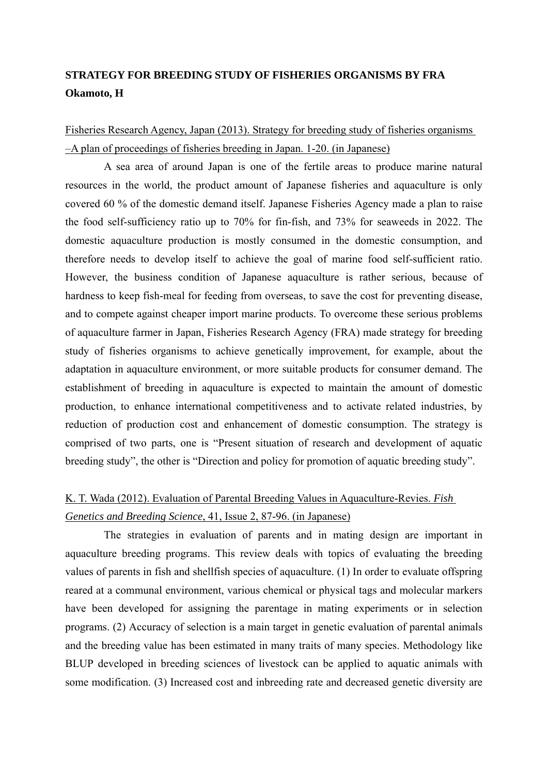#### **STRATEGY FOR BREEDING STUDY OF FISHERIES ORGANISMS BY FRA Okamoto, H**

Fisheries Research Agency, Japan (2013). Strategy for breeding study of fisheries organisms –A plan of proceedings of fisheries breeding in Japan. 1-20. (in Japanese)

A sea area of around Japan is one of the fertile areas to produce marine natural resources in the world, the product amount of Japanese fisheries and aquaculture is only covered 60 % of the domestic demand itself. Japanese Fisheries Agency made a plan to raise the food self-sufficiency ratio up to 70% for fin-fish, and 73% for seaweeds in 2022. The domestic aquaculture production is mostly consumed in the domestic consumption, and therefore needs to develop itself to achieve the goal of marine food self-sufficient ratio. However, the business condition of Japanese aquaculture is rather serious, because of hardness to keep fish-meal for feeding from overseas, to save the cost for preventing disease, and to compete against cheaper import marine products. To overcome these serious problems of aquaculture farmer in Japan, Fisheries Research Agency (FRA) made strategy for breeding study of fisheries organisms to achieve genetically improvement, for example, about the adaptation in aquaculture environment, or more suitable products for consumer demand. The establishment of breeding in aquaculture is expected to maintain the amount of domestic production, to enhance international competitiveness and to activate related industries, by reduction of production cost and enhancement of domestic consumption. The strategy is comprised of two parts, one is "Present situation of research and development of aquatic breeding study", the other is "Direction and policy for promotion of aquatic breeding study".

#### K. T. Wada (2012). Evaluation of Parental Breeding Values in Aquaculture-Revies. *Fish Genetics and Breeding Science*, 41, Issue 2, 87-96. (in Japanese)

The strategies in evaluation of parents and in mating design are important in aquaculture breeding programs. This review deals with topics of evaluating the breeding values of parents in fish and shellfish species of aquaculture. (1) In order to evaluate offspring reared at a communal environment, various chemical or physical tags and molecular markers have been developed for assigning the parentage in mating experiments or in selection programs. (2) Accuracy of selection is a main target in genetic evaluation of parental animals and the breeding value has been estimated in many traits of many species. Methodology like BLUP developed in breeding sciences of livestock can be applied to aquatic animals with some modification. (3) Increased cost and inbreeding rate and decreased genetic diversity are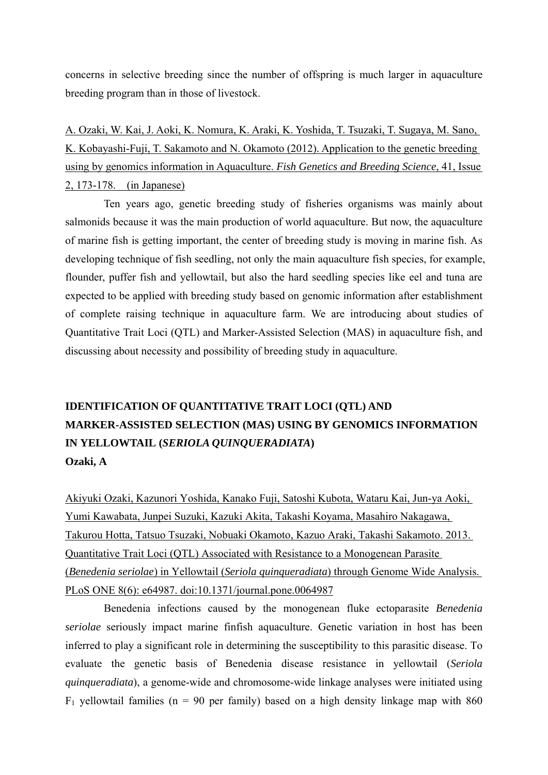concerns in selective breeding since the number of offspring is much larger in aquaculture breeding program than in those of livestock.

A. Ozaki, W. Kai, J. Aoki, K. Nomura, K. Araki, K. Yoshida, T. Tsuzaki, T. Sugaya, M. Sano, K. Kobayashi-Fuji, T. Sakamoto and N. Okamoto (2012). Application to the genetic breeding using by genomics information in Aquaculture. *Fish Genetics and Breeding Science*, 41, Issue 2, 173-178. (in Japanese)

Ten years ago, genetic breeding study of fisheries organisms was mainly about salmonids because it was the main production of world aquaculture. But now, the aquaculture of marine fish is getting important, the center of breeding study is moving in marine fish. As developing technique of fish seedling, not only the main aquaculture fish species, for example, flounder, puffer fish and yellowtail, but also the hard seedling species like eel and tuna are expected to be applied with breeding study based on genomic information after establishment of complete raising technique in aquaculture farm. We are introducing about studies of Quantitative Trait Loci (QTL) and Marker-Assisted Selection (MAS) in aquaculture fish, and discussing about necessity and possibility of breeding study in aquaculture.

## **IDENTIFICATION OF QUANTITATIVE TRAIT LOCI (QTL) AND MARKER-ASSISTED SELECTION (MAS) USING BY GENOMICS INFORMATION IN YELLOWTAIL (***SERIOLA QUINQUERADIATA***) Ozaki, A**

Akiyuki Ozaki, Kazunori Yoshida, Kanako Fuji, Satoshi Kubota, Wataru Kai, Jun-ya Aoki, Yumi Kawabata, Junpei Suzuki, Kazuki Akita, Takashi Koyama, Masahiro Nakagawa, Takurou Hotta, Tatsuo Tsuzaki, Nobuaki Okamoto, Kazuo Araki, Takashi Sakamoto. 2013. Quantitative Trait Loci (QTL) Associated with Resistance to a Monogenean Parasite (*Benedenia seriolae*) in Yellowtail (*Seriola quinqueradiata*) through Genome Wide Analysis. PLoS ONE 8(6): e64987. doi:10.1371/journal.pone.0064987

Benedenia infections caused by the monogenean fluke ectoparasite *Benedenia seriolae* seriously impact marine finfish aquaculture. Genetic variation in host has been inferred to play a significant role in determining the susceptibility to this parasitic disease. To evaluate the genetic basis of Benedenia disease resistance in yellowtail (*Seriola quinqueradiata*), a genome-wide and chromosome-wide linkage analyses were initiated using  $F_1$  yellowtail families (n = 90 per family) based on a high density linkage map with 860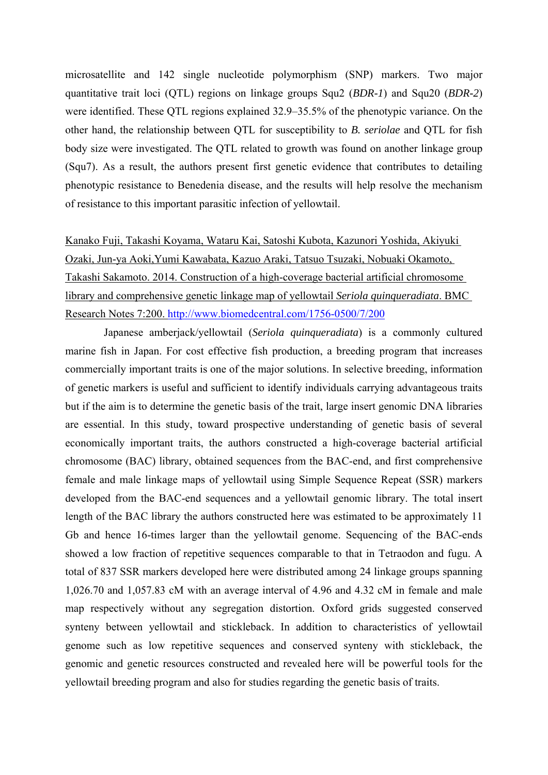microsatellite and 142 single nucleotide polymorphism (SNP) markers. Two major quantitative trait loci (QTL) regions on linkage groups Squ2 (*BDR-1*) and Squ20 (*BDR-2*) were identified. These QTL regions explained 32.9–35.5% of the phenotypic variance. On the other hand, the relationship between QTL for susceptibility to *B. seriolae* and QTL for fish body size were investigated. The QTL related to growth was found on another linkage group (Squ7). As a result, the authors present first genetic evidence that contributes to detailing phenotypic resistance to Benedenia disease, and the results will help resolve the mechanism of resistance to this important parasitic infection of yellowtail.

Kanako Fuji, Takashi Koyama, Wataru Kai, Satoshi Kubota, Kazunori Yoshida, Akiyuki Ozaki, Jun-ya Aoki,Yumi Kawabata, Kazuo Araki, Tatsuo Tsuzaki, Nobuaki Okamoto, Takashi Sakamoto. 2014. Construction of a high-coverage bacterial artificial chromosome library and comprehensive genetic linkage map of yellowtail *Seriola quinqueradiata*. BMC Research Notes 7:200. http://www.biomedcentral.com/1756-0500/7/200

Japanese amberjack/yellowtail (*Seriola quinqueradiata*) is a commonly cultured marine fish in Japan. For cost effective fish production, a breeding program that increases commercially important traits is one of the major solutions. In selective breeding, information of genetic markers is useful and sufficient to identify individuals carrying advantageous traits but if the aim is to determine the genetic basis of the trait, large insert genomic DNA libraries are essential. In this study, toward prospective understanding of genetic basis of several economically important traits, the authors constructed a high-coverage bacterial artificial chromosome (BAC) library, obtained sequences from the BAC-end, and first comprehensive female and male linkage maps of yellowtail using Simple Sequence Repeat (SSR) markers developed from the BAC-end sequences and a yellowtail genomic library. The total insert length of the BAC library the authors constructed here was estimated to be approximately 11 Gb and hence 16-times larger than the yellowtail genome. Sequencing of the BAC-ends showed a low fraction of repetitive sequences comparable to that in Tetraodon and fugu. A total of 837 SSR markers developed here were distributed among 24 linkage groups spanning 1,026.70 and 1,057.83 cM with an average interval of 4.96 and 4.32 cM in female and male map respectively without any segregation distortion. Oxford grids suggested conserved synteny between yellowtail and stickleback. In addition to characteristics of yellowtail genome such as low repetitive sequences and conserved synteny with stickleback, the genomic and genetic resources constructed and revealed here will be powerful tools for the yellowtail breeding program and also for studies regarding the genetic basis of traits.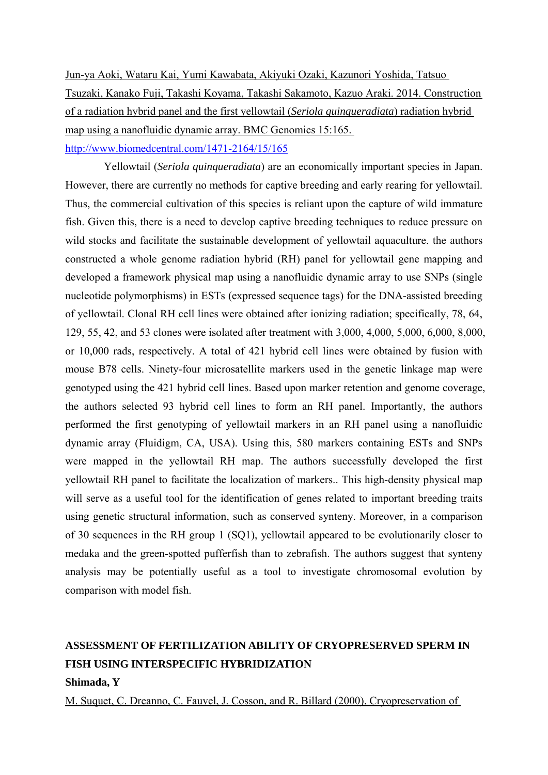Jun-ya Aoki, Wataru Kai, Yumi Kawabata, Akiyuki Ozaki, Kazunori Yoshida, Tatsuo Tsuzaki, Kanako Fuji, Takashi Koyama, Takashi Sakamoto, Kazuo Araki. 2014. Construction of a radiation hybrid panel and the first yellowtail (*Seriola quinqueradiata*) radiation hybrid map using a nanofluidic dynamic array. BMC Genomics 15:165. http://www.biomedcentral.com/1471-2164/15/165

Yellowtail (*Seriola quinqueradiata*) are an economically important species in Japan. However, there are currently no methods for captive breeding and early rearing for yellowtail. Thus, the commercial cultivation of this species is reliant upon the capture of wild immature fish. Given this, there is a need to develop captive breeding techniques to reduce pressure on wild stocks and facilitate the sustainable development of yellowtail aquaculture. the authors constructed a whole genome radiation hybrid (RH) panel for yellowtail gene mapping and developed a framework physical map using a nanofluidic dynamic array to use SNPs (single nucleotide polymorphisms) in ESTs (expressed sequence tags) for the DNA-assisted breeding of yellowtail. Clonal RH cell lines were obtained after ionizing radiation; specifically, 78, 64, 129, 55, 42, and 53 clones were isolated after treatment with 3,000, 4,000, 5,000, 6,000, 8,000, or 10,000 rads, respectively. A total of 421 hybrid cell lines were obtained by fusion with mouse B78 cells. Ninety-four microsatellite markers used in the genetic linkage map were genotyped using the 421 hybrid cell lines. Based upon marker retention and genome coverage, the authors selected 93 hybrid cell lines to form an RH panel. Importantly, the authors performed the first genotyping of yellowtail markers in an RH panel using a nanofluidic dynamic array (Fluidigm, CA, USA). Using this, 580 markers containing ESTs and SNPs were mapped in the yellowtail RH map. The authors successfully developed the first yellowtail RH panel to facilitate the localization of markers.. This high-density physical map will serve as a useful tool for the identification of genes related to important breeding traits using genetic structural information, such as conserved synteny. Moreover, in a comparison of 30 sequences in the RH group 1 (SQ1), yellowtail appeared to be evolutionarily closer to medaka and the green-spotted pufferfish than to zebrafish. The authors suggest that synteny analysis may be potentially useful as a tool to investigate chromosomal evolution by comparison with model fish.

### **ASSESSMENT OF FERTILIZATION ABILITY OF CRYOPRESERVED SPERM IN FISH USING INTERSPECIFIC HYBRIDIZATION**

#### **Shimada, Y**

M. Suquet, C. Dreanno, C. Fauvel, J. Cosson, and R. Billard (2000). Cryopreservation of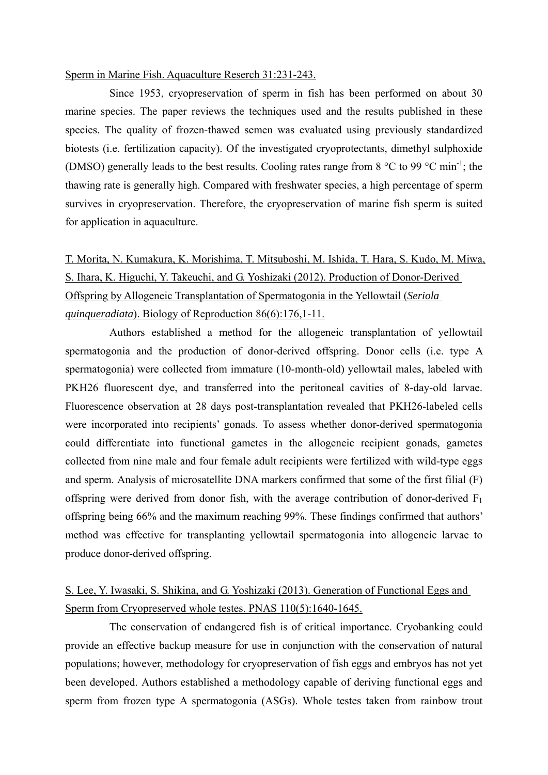#### Sperm in Marine Fish. Aquaculture Reserch 31:231-243.

Since 1953, cryopreservation of sperm in fish has been performed on about 30 marine species. The paper reviews the techniques used and the results published in these species. The quality of frozen-thawed semen was evaluated using previously standardized biotests (i.e. fertilization capacity). Of the investigated cryoprotectants, dimethyl sulphoxide (DMSO) generally leads to the best results. Cooling rates range from  $8^{\circ}$ C to 99  $^{\circ}$ C min<sup>-1</sup>; the thawing rate is generally high. Compared with freshwater species, a high percentage of sperm survives in cryopreservation. Therefore, the cryopreservation of marine fish sperm is suited for application in aquaculture.

T. Morita, N. Kumakura, K. Morishima, T. Mitsuboshi, M. Ishida, T. Hara, S. Kudo, M. Miwa, S. Ihara, K. Higuchi, Y. Takeuchi, and G. Yoshizaki (2012). Production of Donor-Derived Offspring by Allogeneic Transplantation of Spermatogonia in the Yellowtail (*Seriola quinqueradiata*). Biology of Reproduction 86(6):176,1-11.

Authors established a method for the allogeneic transplantation of yellowtail spermatogonia and the production of donor-derived offspring. Donor cells (i.e. type A spermatogonia) were collected from immature (10-month-old) yellowtail males, labeled with PKH26 fluorescent dye, and transferred into the peritoneal cavities of 8-day-old larvae. Fluorescence observation at 28 days post-transplantation revealed that PKH26-labeled cells were incorporated into recipients' gonads. To assess whether donor-derived spermatogonia could differentiate into functional gametes in the allogeneic recipient gonads, gametes collected from nine male and four female adult recipients were fertilized with wild-type eggs and sperm. Analysis of microsatellite DNA markers confirmed that some of the first filial (F) offspring were derived from donor fish, with the average contribution of donor-derived  $F_1$ offspring being 66% and the maximum reaching 99%. These findings confirmed that authors' method was effective for transplanting yellowtail spermatogonia into allogeneic larvae to produce donor-derived offspring.

#### S. Lee, Y. Iwasaki, S. Shikina, and G. Yoshizaki (2013). Generation of Functional Eggs and Sperm from Cryopreserved whole testes. PNAS 110(5):1640-1645.

The conservation of endangered fish is of critical importance. Cryobanking could provide an effective backup measure for use in conjunction with the conservation of natural populations; however, methodology for cryopreservation of fish eggs and embryos has not yet been developed. Authors established a methodology capable of deriving functional eggs and sperm from frozen type A spermatogonia (ASGs). Whole testes taken from rainbow trout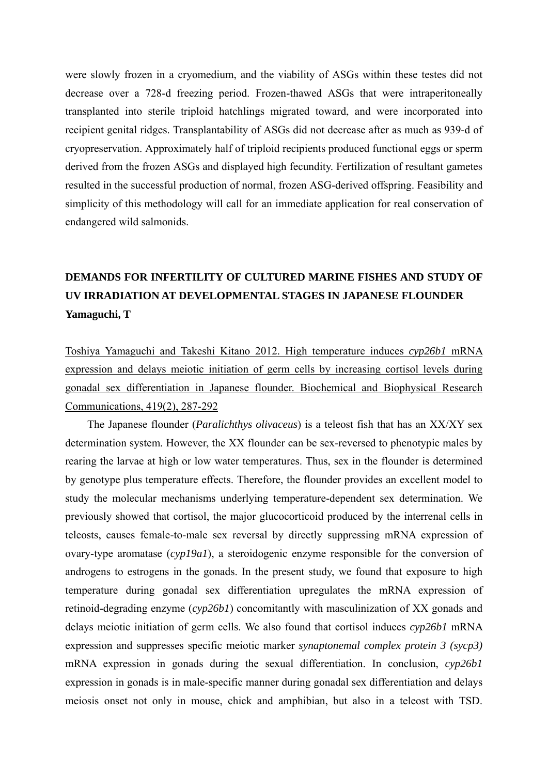were slowly frozen in a cryomedium, and the viability of ASGs within these testes did not decrease over a 728-d freezing period. Frozen-thawed ASGs that were intraperitoneally transplanted into sterile triploid hatchlings migrated toward, and were incorporated into recipient genital ridges. Transplantability of ASGs did not decrease after as much as 939-d of cryopreservation. Approximately half of triploid recipients produced functional eggs or sperm derived from the frozen ASGs and displayed high fecundity. Fertilization of resultant gametes resulted in the successful production of normal, frozen ASG-derived offspring. Feasibility and simplicity of this methodology will call for an immediate application for real conservation of endangered wild salmonids.

# **DEMANDS FOR INFERTILITY OF CULTURED MARINE FISHES AND STUDY OF UV IRRADIATION AT DEVELOPMENTAL STAGES IN JAPANESE FLOUNDER Yamaguchi, T**

Toshiya Yamaguchi and Takeshi Kitano 2012. High temperature induces *cyp26b1* mRNA expression and delays meiotic initiation of germ cells by increasing cortisol levels during gonadal sex differentiation in Japanese flounder. Biochemical and Biophysical Research Communications, 419(2), 287-292

The Japanese flounder (*Paralichthys olivaceus*) is a teleost fish that has an XX/XY sex determination system. However, the XX flounder can be sex-reversed to phenotypic males by rearing the larvae at high or low water temperatures. Thus, sex in the flounder is determined by genotype plus temperature effects. Therefore, the flounder provides an excellent model to study the molecular mechanisms underlying temperature-dependent sex determination. We previously showed that cortisol, the major glucocorticoid produced by the interrenal cells in teleosts, causes female-to-male sex reversal by directly suppressing mRNA expression of ovary-type aromatase (*cyp19a1*), a steroidogenic enzyme responsible for the conversion of androgens to estrogens in the gonads. In the present study, we found that exposure to high temperature during gonadal sex differentiation upregulates the mRNA expression of retinoid-degrading enzyme (*cyp26b1*) concomitantly with masculinization of XX gonads and delays meiotic initiation of germ cells. We also found that cortisol induces *cyp26b1* mRNA expression and suppresses specific meiotic marker *synaptonemal complex protein 3 (sycp3)* mRNA expression in gonads during the sexual differentiation. In conclusion, *cyp26b1* expression in gonads is in male-specific manner during gonadal sex differentiation and delays meiosis onset not only in mouse, chick and amphibian, but also in a teleost with TSD.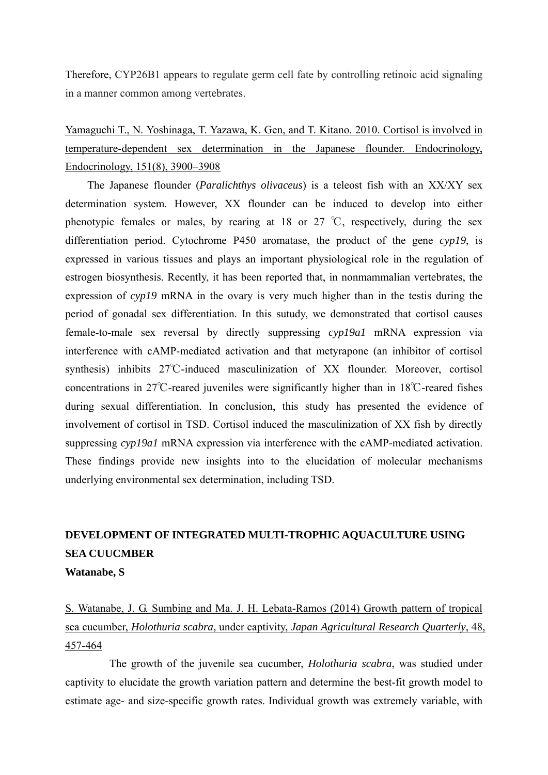Therefore, CYP26B1 appears to regulate germ cell fate by controlling retinoic acid signaling in a manner common among vertebrates.

Yamaguchi T., N. Yoshinaga, T. Yazawa, K. Gen, and T. Kitano. 2010. Cortisol is involved in temperature-dependent sex determination in the Japanese flounder. Endocrinology, Endocrinology, 151(8), 3900–3908

The Japanese flounder (*Paralichthys olivaceus*) is a teleost fish with an XX/XY sex determination system. However, XX flounder can be induced to develop into either phenotypic females or males, by rearing at 18 or 27 ℃, respectively, during the sex differentiation period. Cytochrome P450 aromatase, the product of the gene *cyp19*, is expressed in various tissues and plays an important physiological role in the regulation of estrogen biosynthesis. Recently, it has been reported that, in nonmammalian vertebrates, the expression of *cyp19* mRNA in the ovary is very much higher than in the testis during the period of gonadal sex differentiation. In this sutudy, we demonstrated that cortisol causes female-to-male sex reversal by directly suppressing *cyp19a1* mRNA expression via interference with cAMP-mediated activation and that metyrapone (an inhibitor of cortisol synthesis) inhibits 27°C-induced masculinization of XX flounder. Moreover, cortisol concentrations in 27℃-reared juveniles were significantly higher than in 18℃-reared fishes during sexual differentiation. In conclusion, this study has presented the evidence of involvement of cortisol in TSD. Cortisol induced the masculinization of XX fish by directly suppressing *cyp19a1* mRNA expression via interference with the cAMP-mediated activation. These findings provide new insights into to the elucidation of molecular mechanisms underlying environmental sex determination, including TSD.

## **DEVELOPMENT OF INTEGRATED MULTI-TROPHIC AQUACULTURE USING SEA CUUCMBER**

**Watanabe, S**

S. Watanabe, J. G. Sumbing and Ma. J. H. Lebata-Ramos (2014) Growth pattern of tropical sea cucumber, *Holothuria scabra*, under captivity, *Japan Agricultural Research Quarterly*, 48, 457-464

The growth of the juvenile sea cucumber, *Holothuria scabra*, was studied under captivity to elucidate the growth variation pattern and determine the best-fit growth model to estimate age- and size-specific growth rates. Individual growth was extremely variable, with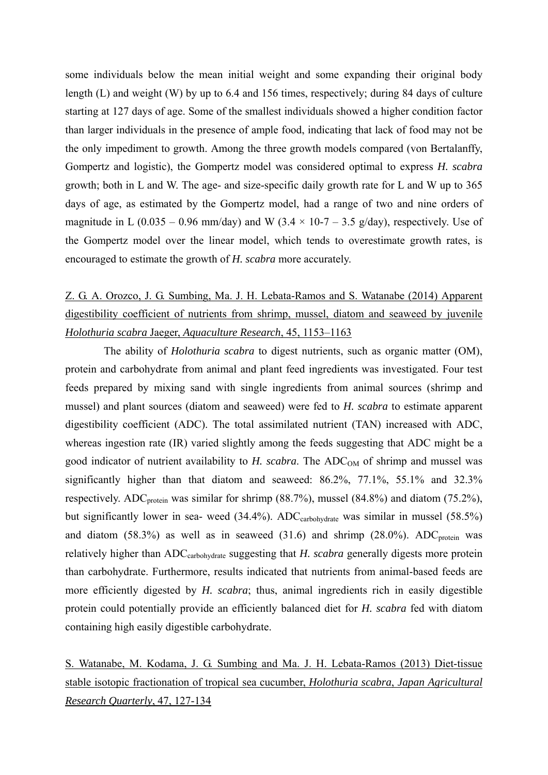some individuals below the mean initial weight and some expanding their original body length (L) and weight (W) by up to 6.4 and 156 times, respectively; during 84 days of culture starting at 127 days of age. Some of the smallest individuals showed a higher condition factor than larger individuals in the presence of ample food, indicating that lack of food may not be the only impediment to growth. Among the three growth models compared (von Bertalanffy, Gompertz and logistic), the Gompertz model was considered optimal to express *H. scabra* growth; both in L and W. The age- and size-specific daily growth rate for L and W up to 365 days of age, as estimated by the Gompertz model, had a range of two and nine orders of magnitude in L (0.035 – 0.96 mm/day) and W (3.4  $\times$  10-7 – 3.5 g/day), respectively. Use of the Gompertz model over the linear model, which tends to overestimate growth rates, is encouraged to estimate the growth of *H. scabra* more accurately.

## Z. G. A. Orozco, J. G. Sumbing, Ma. J. H. Lebata-Ramos and S. Watanabe (2014) Apparent digestibility coefficient of nutrients from shrimp, mussel, diatom and seaweed by juvenile *Holothuria scabra* Jaeger, *Aquaculture Research*, 45, 1153–1163

 The ability of *Holothuria scabra* to digest nutrients, such as organic matter (OM), protein and carbohydrate from animal and plant feed ingredients was investigated. Four test feeds prepared by mixing sand with single ingredients from animal sources (shrimp and mussel) and plant sources (diatom and seaweed) were fed to *H. scabra* to estimate apparent digestibility coefficient (ADC). The total assimilated nutrient (TAN) increased with ADC, whereas ingestion rate (IR) varied slightly among the feeds suggesting that ADC might be a good indicator of nutrient availability to  $H$ . scabra. The ADC<sub>OM</sub> of shrimp and mussel was significantly higher than that diatom and seaweed: 86.2%, 77.1%, 55.1% and 32.3% respectively. ADC<sub>protein</sub> was similar for shrimp  $(88.7%)$ , mussel  $(84.8%)$  and diatom  $(75.2%)$ , but significantly lower in sea- weed  $(34.4\%)$ . ADC<sub>carbohydrate</sub> was similar in mussel  $(58.5\%)$ and diatom  $(58.3\%)$  as well as in seaweed  $(31.6)$  and shrimp  $(28.0\%)$ . ADC<sub>protein</sub> was relatively higher than ADCcarbohydrate suggesting that *H. scabra* generally digests more protein than carbohydrate. Furthermore, results indicated that nutrients from animal-based feeds are more efficiently digested by *H. scabra*; thus, animal ingredients rich in easily digestible protein could potentially provide an efficiently balanced diet for *H. scabra* fed with diatom containing high easily digestible carbohydrate.

## S. Watanabe, M. Kodama, J. G. Sumbing and Ma. J. H. Lebata-Ramos (2013) Diet-tissue stable isotopic fractionation of tropical sea cucumber, *Holothuria scabra*, *Japan Agricultural Research Quarterly*, 47, 127-134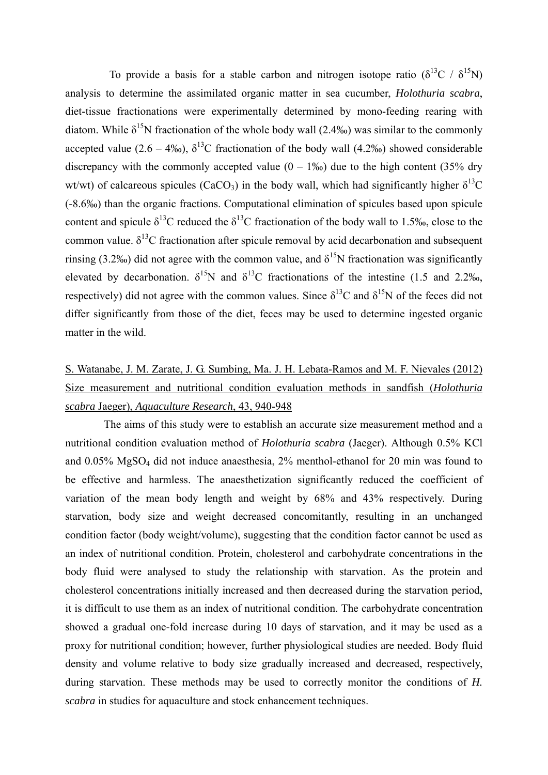To provide a basis for a stable carbon and nitrogen isotope ratio ( $\delta^{13}C / \delta^{15}N$ ) analysis to determine the assimilated organic matter in sea cucumber, *Holothuria scabra*, diet-tissue fractionations were experimentally determined by mono-feeding rearing with diatom. While  $\delta^{15}N$  fractionation of the whole body wall (2.4‰) was similar to the commonly accepted value (2.6 – 4‰),  $\delta^{13}$ C fractionation of the body wall (4.2‰) showed considerable discrepancy with the commonly accepted value  $(0 - 1\%)$  due to the high content (35% dry wt/wt) of calcareous spicules (CaCO<sub>3</sub>) in the body wall, which had significantly higher  $\delta^{13}$ C (-8.6‰) than the organic fractions. Computational elimination of spicules based upon spicule content and spicule  $\delta^{13}$ C reduced the  $\delta^{13}$ C fractionation of the body wall to 1.5‰, close to the common value.  $\delta^{13}$ C fractionation after spicule removal by acid decarbonation and subsequent rinsing (3.2‰) did not agree with the common value, and  $\delta^{15}N$  fractionation was significantly elevated by decarbonation.  $\delta^{15}N$  and  $\delta^{13}C$  fractionations of the intestine (1.5 and 2.2‰, respectively) did not agree with the common values. Since  $\delta^{13}C$  and  $\delta^{15}N$  of the feces did not differ significantly from those of the diet, feces may be used to determine ingested organic matter in the wild.

## S. Watanabe, J. M. Zarate, J. G. Sumbing, Ma. J. H. Lebata-Ramos and M. F. Nievales (2012) Size measurement and nutritional condition evaluation methods in sandfish (*Holothuria scabra* Jaeger), *Aquaculture Research*, 43, 940-948

 The aims of this study were to establish an accurate size measurement method and a nutritional condition evaluation method of *Holothuria scabra* (Jaeger). Although 0.5% KCl and 0.05% MgSO4 did not induce anaesthesia, 2% menthol-ethanol for 20 min was found to be effective and harmless. The anaesthetization significantly reduced the coefficient of variation of the mean body length and weight by 68% and 43% respectively. During starvation, body size and weight decreased concomitantly, resulting in an unchanged condition factor (body weight/volume), suggesting that the condition factor cannot be used as an index of nutritional condition. Protein, cholesterol and carbohydrate concentrations in the body fluid were analysed to study the relationship with starvation. As the protein and cholesterol concentrations initially increased and then decreased during the starvation period, it is difficult to use them as an index of nutritional condition. The carbohydrate concentration showed a gradual one-fold increase during 10 days of starvation, and it may be used as a proxy for nutritional condition; however, further physiological studies are needed. Body fluid density and volume relative to body size gradually increased and decreased, respectively, during starvation. These methods may be used to correctly monitor the conditions of *H*. *scabra* in studies for aquaculture and stock enhancement techniques.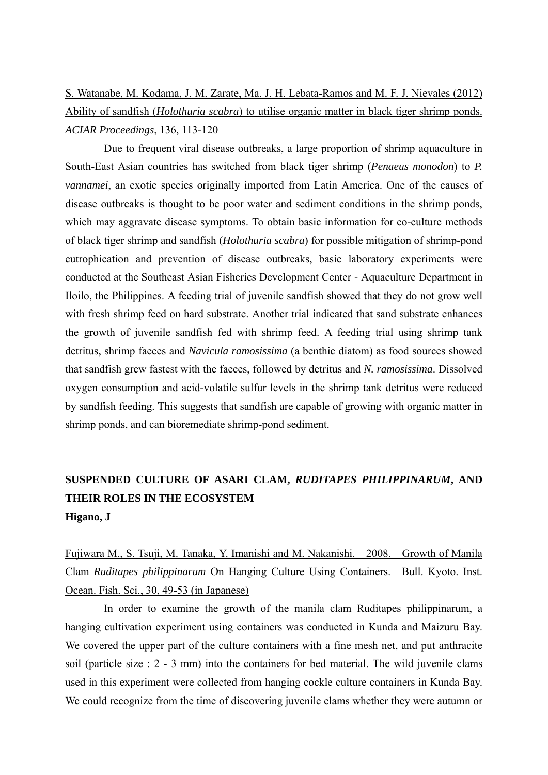S. Watanabe, M. Kodama, J. M. Zarate, Ma. J. H. Lebata-Ramos and M. F. J. Nievales (2012) Ability of sandfish (*Holothuria scabra*) to utilise organic matter in black tiger shrimp ponds. *ACIAR Proceedings*, 136, 113-120

 Due to frequent viral disease outbreaks, a large proportion of shrimp aquaculture in South-East Asian countries has switched from black tiger shrimp (*Penaeus monodon*) to *P. vannamei*, an exotic species originally imported from Latin America. One of the causes of disease outbreaks is thought to be poor water and sediment conditions in the shrimp ponds, which may aggravate disease symptoms. To obtain basic information for co-culture methods of black tiger shrimp and sandfish (*Holothuria scabra*) for possible mitigation of shrimp-pond eutrophication and prevention of disease outbreaks, basic laboratory experiments were conducted at the Southeast Asian Fisheries Development Center - Aquaculture Department in Iloilo, the Philippines. A feeding trial of juvenile sandfish showed that they do not grow well with fresh shrimp feed on hard substrate. Another trial indicated that sand substrate enhances the growth of juvenile sandfish fed with shrimp feed. A feeding trial using shrimp tank detritus, shrimp faeces and *Navicula ramosissima* (a benthic diatom) as food sources showed that sandfish grew fastest with the faeces, followed by detritus and *N. ramosissima*. Dissolved oxygen consumption and acid-volatile sulfur levels in the shrimp tank detritus were reduced by sandfish feeding. This suggests that sandfish are capable of growing with organic matter in shrimp ponds, and can bioremediate shrimp-pond sediment.

### **SUSPENDED CULTURE OF ASARI CLAM,** *RUDITAPES PHILIPPINARUM***, AND THEIR ROLES IN THE ECOSYSTEM Higano, J**

### Fujiwara M., S. Tsuji, M. Tanaka, Y. Imanishi and M. Nakanishi. 2008. Growth of Manila Clam *Ruditapes philippinarum* On Hanging Culture Using Containers. Bull. Kyoto. Inst. Ocean. Fish. Sci., 30, 49-53 (in Japanese)

In order to examine the growth of the manila clam Ruditapes philippinarum, a hanging cultivation experiment using containers was conducted in Kunda and Maizuru Bay. We covered the upper part of the culture containers with a fine mesh net, and put anthracite soil (particle size : 2 - 3 mm) into the containers for bed material. The wild juvenile clams used in this experiment were collected from hanging cockle culture containers in Kunda Bay. We could recognize from the time of discovering juvenile clams whether they were autumn or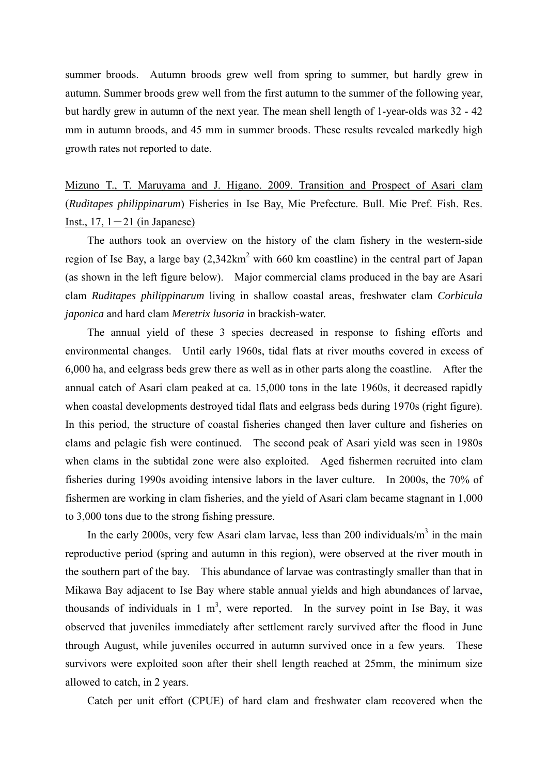summer broods. Autumn broods grew well from spring to summer, but hardly grew in autumn. Summer broods grew well from the first autumn to the summer of the following year, but hardly grew in autumn of the next year. The mean shell length of 1-year-olds was 32 - 42 mm in autumn broods, and 45 mm in summer broods. These results revealed markedly high growth rates not reported to date.

Mizuno T., T. Maruyama and J. Higano. 2009. Transition and Prospect of Asari clam (*Ruditapes philippinarum*) Fisheries in Ise Bay, Mie Prefecture. Bull. Mie Pref. Fish. Res. Inst.,  $17, 1-21$  (in Japanese)

The authors took an overview on the history of the clam fishery in the western-side region of Ise Bay, a large bay  $(2,342 \text{km}^2 \text{ with } 660 \text{ km} \text{ coastline})$  in the central part of Japan (as shown in the left figure below). Major commercial clams produced in the bay are Asari clam *Ruditapes philippinarum* living in shallow coastal areas, freshwater clam *Corbicula japonica* and hard clam *Meretrix lusoria* in brackish-water.

The annual yield of these 3 species decreased in response to fishing efforts and environmental changes. Until early 1960s, tidal flats at river mouths covered in excess of 6,000 ha, and eelgrass beds grew there as well as in other parts along the coastline. After the annual catch of Asari clam peaked at ca. 15,000 tons in the late 1960s, it decreased rapidly when coastal developments destroyed tidal flats and eelgrass beds during 1970s (right figure). In this period, the structure of coastal fisheries changed then laver culture and fisheries on clams and pelagic fish were continued. The second peak of Asari yield was seen in 1980s when clams in the subtidal zone were also exploited. Aged fishermen recruited into clam fisheries during 1990s avoiding intensive labors in the laver culture. In 2000s, the 70% of fishermen are working in clam fisheries, and the yield of Asari clam became stagnant in 1,000 to 3,000 tons due to the strong fishing pressure.

In the early 2000s, very few Asari clam larvae, less than 200 individuals/ $m<sup>3</sup>$  in the main reproductive period (spring and autumn in this region), were observed at the river mouth in the southern part of the bay. This abundance of larvae was contrastingly smaller than that in Mikawa Bay adjacent to Ise Bay where stable annual yields and high abundances of larvae, thousands of individuals in 1  $m<sup>3</sup>$ , were reported. In the survey point in Ise Bay, it was observed that juveniles immediately after settlement rarely survived after the flood in June through August, while juveniles occurred in autumn survived once in a few years. These survivors were exploited soon after their shell length reached at 25mm, the minimum size allowed to catch, in 2 years.

Catch per unit effort (CPUE) of hard clam and freshwater clam recovered when the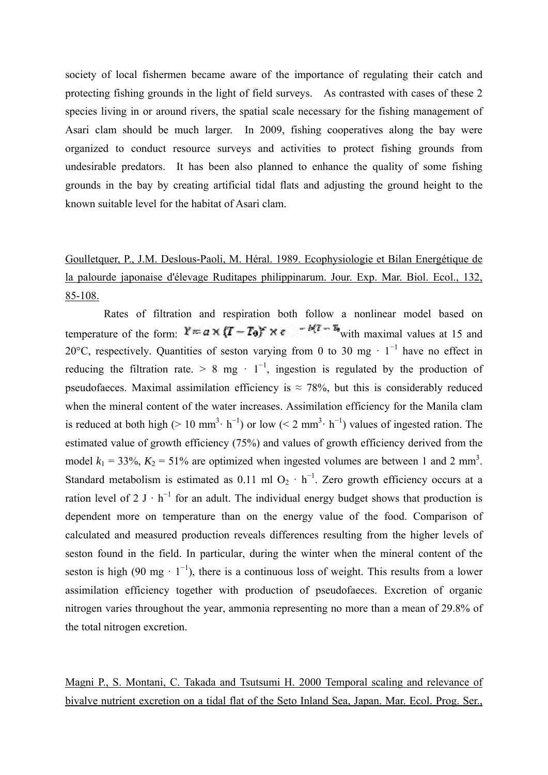society of local fishermen became aware of the importance of regulating their catch and protecting fishing grounds in the light of field surveys. As contrasted with cases of these 2 species living in or around rivers, the spatial scale necessary for the fishing management of Asari clam should be much larger. In 2009, fishing cooperatives along the bay were organized to conduct resource surveys and activities to protect fishing grounds from undesirable predators. It has been also planned to enhance the quality of some fishing grounds in the bay by creating artificial tidal flats and adjusting the ground height to the known suitable level for the habitat of Asari clam.

# Goulletquer, P., J.M. Deslous-Paoli, M. Héral. 1989. Ecophysiologie et Bilan Energétique de la palourde japonaise d'élevage Ruditapes philippinarum. Jour. Exp. Mar. Biol. Ecol., 132, 85-108.

Rates of filtration and respiration both follow a nonlinear model based on temperature of the form:  $Y = a \times (T - T_0) \times e^{-b(T - T_0)}$  with maximal values at 15 and 20°C, respectively. Quantities of seston varying from 0 to 30 mg  $\cdot$  1<sup>-1</sup> have no effect in reducing the filtration rate. > 8 mg ·  $1^{-1}$ , ingestion is regulated by the production of pseudofaeces. Maximal assimilation efficiency is  $\approx$  78%, but this is considerably reduced when the mineral content of the water increases. Assimilation efficiency for the Manila clam is reduced at both high (> 10 mm<sup>3</sup>· h<sup>-1</sup>) or low (< 2 mm<sup>3</sup>· h<sup>-1</sup>) values of ingested ration. The estimated value of growth efficiency (75%) and values of growth efficiency derived from the model  $k_1 = 33\%, K_2 = 51\%$  are optimized when ingested volumes are between 1 and 2 mm<sup>3</sup>. Standard metabolism is estimated as 0.11 ml O<sub>2</sub> · h<sup>-1</sup>. Zero growth efficiency occurs at a ration level of 2 J  $\cdot$  h<sup>-1</sup> for an adult. The individual energy budget shows that production is dependent more on temperature than on the energy value of the food. Comparison of calculated and measured production reveals differences resulting from the higher levels of seston found in the field. In particular, during the winter when the mineral content of the seston is high (90 mg  $\cdot$  1<sup>-1</sup>), there is a continuous loss of weight. This results from a lower assimilation efficiency together with production of pseudofaeces. Excretion of organic nitrogen varies throughout the year, ammonia representing no more than a mean of 29.8% of the total nitrogen excretion.

Magni P., S. Montani, C. Takada and Tsutsumi H. 2000 Temporal scaling and relevance of bivalve nutrient excretion on a tidal flat of the Seto Inland Sea, Japan. Mar. Ecol. Prog. Ser.,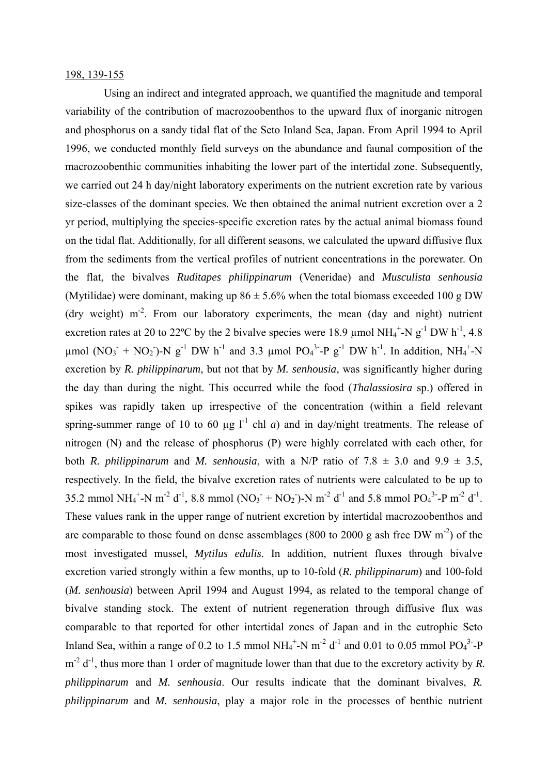#### 198, 139-155

Using an indirect and integrated approach, we quantified the magnitude and temporal variability of the contribution of macrozoobenthos to the upward flux of inorganic nitrogen and phosphorus on a sandy tidal flat of the Seto Inland Sea, Japan. From April 1994 to April 1996, we conducted monthly field surveys on the abundance and faunal composition of the macrozoobenthic communities inhabiting the lower part of the intertidal zone. Subsequently, we carried out 24 h day/night laboratory experiments on the nutrient excretion rate by various size-classes of the dominant species. We then obtained the animal nutrient excretion over a 2 yr period, multiplying the species-specific excretion rates by the actual animal biomass found on the tidal flat. Additionally, for all different seasons, we calculated the upward diffusive flux from the sediments from the vertical profiles of nutrient concentrations in the porewater. On the flat, the bivalves *Ruditapes philippinarum* (Veneridae) and *Musculista senhousia* (Mytilidae) were dominant, making up  $86 \pm 5.6\%$  when the total biomass exceeded 100 g DW (dry weight)  $m<sup>2</sup>$ . From our laboratory experiments, the mean (day and night) nutrient excretion rates at 20 to 22°C by the 2 bivalve species were 18.9  $\mu$ mol NH<sub>4</sub><sup>+</sup>-N g<sup>-1</sup> DW h<sup>-1</sup>, 4.8  $\mu$ mol (NO<sub>3</sub><sup>+</sup> NO<sub>2</sub>)-N g<sup>-1</sup> DW h<sup>-1</sup> and 3.3  $\mu$ mol PO<sub>4</sub><sup>3</sup>-P g<sup>-1</sup> DW h<sup>-1</sup>. In addition, NH<sub>4</sub><sup>+</sup>-N excretion by *R. philippinarum*, but not that by *M. senhousia*, was significantly higher during the day than during the night. This occurred while the food (*Thalassiosira* sp.) offered in spikes was rapidly taken up irrespective of the concentration (within a field relevant spring-summer range of 10 to 60  $\mu$ g l<sup>-1</sup> chl *a*) and in day/night treatments. The release of nitrogen (N) and the release of phosphorus (P) were highly correlated with each other, for both *R. philippinarum* and *M. senhousia*, with a N/P ratio of 7.8  $\pm$  3.0 and 9.9  $\pm$  3.5, respectively. In the field, the bivalve excretion rates of nutrients were calculated to be up to 35.2 mmol  $NH_4^+$ -N m<sup>-2</sup> d<sup>-1</sup>, 8.8 mmol (NO<sub>3</sub><sup>+</sup> NO<sub>2</sub>)-N m<sup>-2</sup> d<sup>-1</sup> and 5.8 mmol PO<sub>4</sub><sup>3</sup>-P m<sup>-2</sup> d<sup>-1</sup>. These values rank in the upper range of nutrient excretion by intertidal macrozoobenthos and are comparable to those found on dense assemblages (800 to 2000 g ash free DW  $m^{-2}$ ) of the most investigated mussel, *Mytilus edulis*. In addition, nutrient fluxes through bivalve excretion varied strongly within a few months, up to 10-fold (*R. philippinarum*) and 100-fold (*M. senhousia*) between April 1994 and August 1994, as related to the temporal change of bivalve standing stock. The extent of nutrient regeneration through diffusive flux was comparable to that reported for other intertidal zones of Japan and in the eutrophic Seto Inland Sea, within a range of 0.2 to 1.5 mmol  $NH_4^+$ -N m<sup>-2</sup> d<sup>-1</sup> and 0.01 to 0.05 mmol PO<sub>4</sub><sup>3</sup>-P  $m^{-2}$  d<sup>-1</sup>, thus more than 1 order of magnitude lower than that due to the excretory activity by *R*. *philippinarum* and *M. senhousia*. Our results indicate that the dominant bivalves, *R. philippinarum* and *M. senhousia*, play a major role in the processes of benthic nutrient